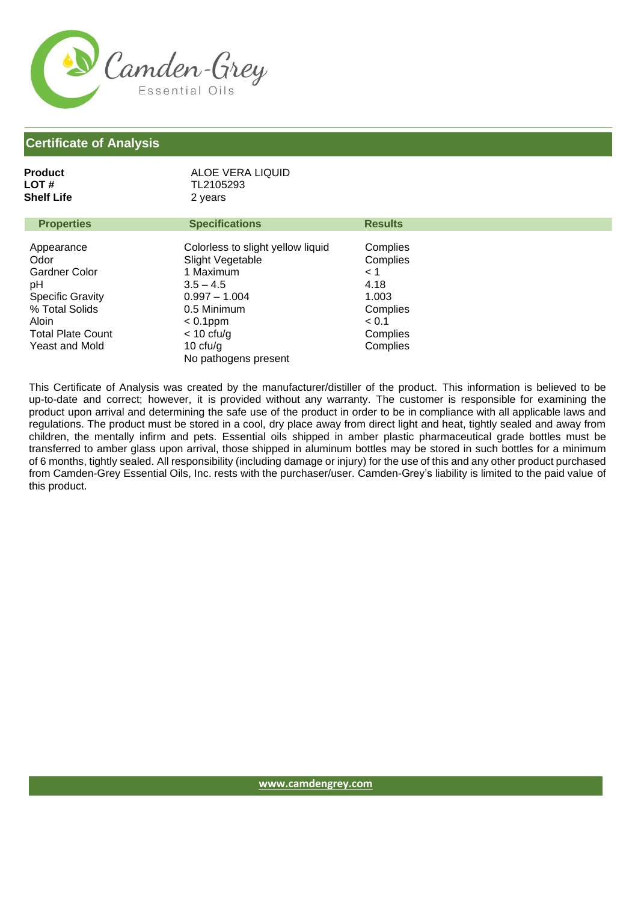

### **Certificate of Analysis**

| <b>LOT#</b><br>Shelf Life                                                                                                                            | TL2105293<br>2 years                                                                                                                                                                     |                                                                                                |
|------------------------------------------------------------------------------------------------------------------------------------------------------|------------------------------------------------------------------------------------------------------------------------------------------------------------------------------------------|------------------------------------------------------------------------------------------------|
| <b>Properties</b>                                                                                                                                    | <b>Specifications</b>                                                                                                                                                                    | <b>Results</b>                                                                                 |
| Appearance<br>Odor<br><b>Gardner Color</b><br>рH<br><b>Specific Gravity</b><br>% Total Solids<br>Aloin<br><b>Total Plate Count</b><br>Yeast and Mold | Colorless to slight yellow liquid<br>Slight Vegetable<br>1 Maximum<br>$3.5 - 4.5$<br>$0.997 - 1.004$<br>0.5 Minimum<br>$< 0.1$ ppm<br>$<$ 10 cfu/g<br>10 $ctu/g$<br>No pathogens present | Complies<br>Complies<br>$\leq 1$<br>4.18<br>1.003<br>Complies<br>< 0.1<br>Complies<br>Complies |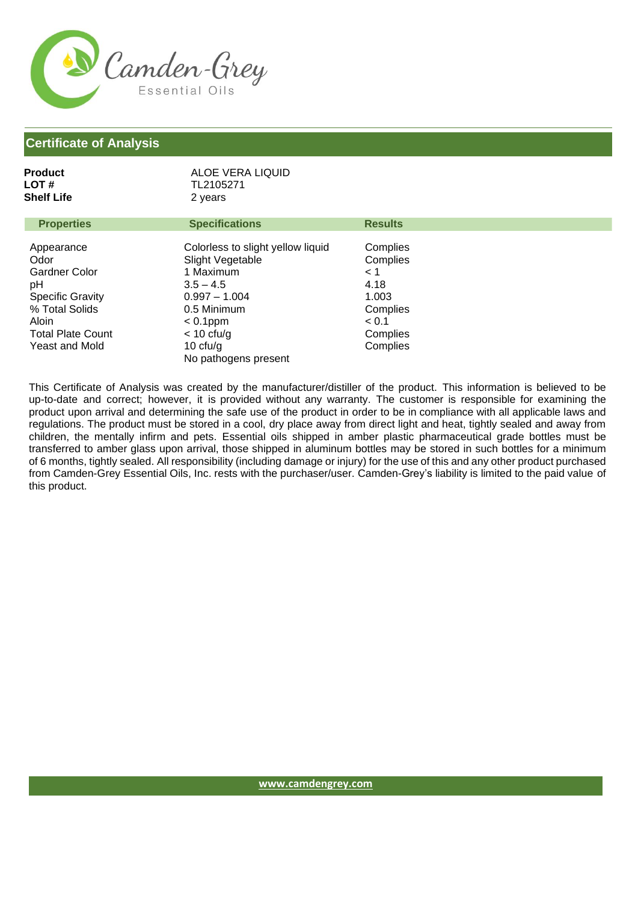

### **Certificate of Analysis**

| LOT#<br>Shelf Life                                                                                                                                   | TL2105271<br>2 years                                                                                                                                                                     |                                                                                                |  |
|------------------------------------------------------------------------------------------------------------------------------------------------------|------------------------------------------------------------------------------------------------------------------------------------------------------------------------------------------|------------------------------------------------------------------------------------------------|--|
| <b>Properties</b>                                                                                                                                    | <b>Specifications</b>                                                                                                                                                                    | <b>Results</b>                                                                                 |  |
| Appearance<br>Odor<br><b>Gardner Color</b><br>pH<br><b>Specific Gravity</b><br>% Total Solids<br>Aloin<br><b>Total Plate Count</b><br>Yeast and Mold | Colorless to slight yellow liquid<br>Slight Vegetable<br>1 Maximum<br>$3.5 - 4.5$<br>$0.997 - 1.004$<br>0.5 Minimum<br>$< 0.1$ ppm<br>$<$ 10 cfu/g<br>10 $ctu/g$<br>No pathogens present | Complies<br>Complies<br>$\leq 1$<br>4.18<br>1.003<br>Complies<br>< 0.1<br>Complies<br>Complies |  |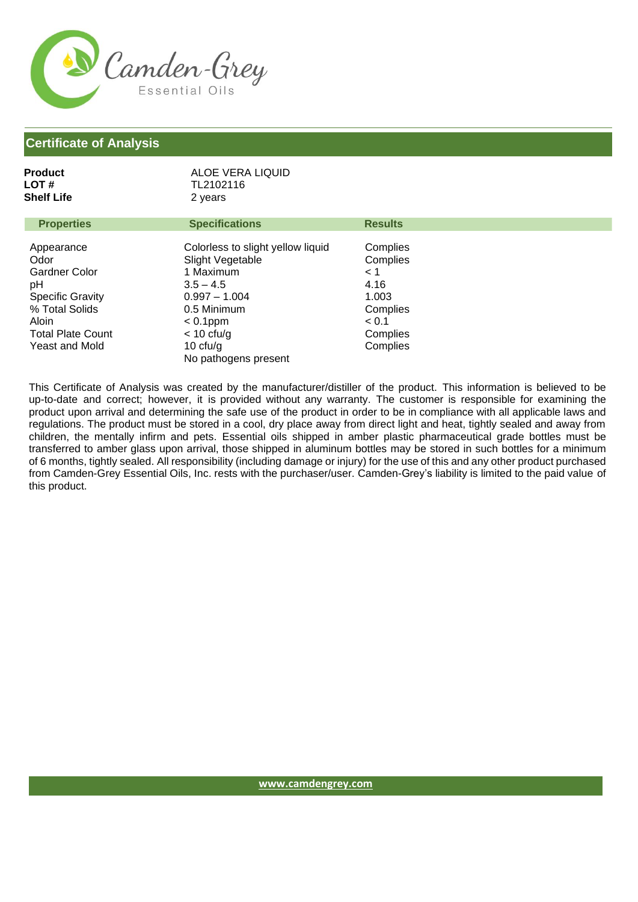

### **Certificate of Analysis**

| LOT#<br>Shelf Life                                                                                                                                   | TL2102116<br>2 years                                                                                                                                                                     |                                                                                                |
|------------------------------------------------------------------------------------------------------------------------------------------------------|------------------------------------------------------------------------------------------------------------------------------------------------------------------------------------------|------------------------------------------------------------------------------------------------|
| <b>Properties</b>                                                                                                                                    | <b>Specifications</b>                                                                                                                                                                    | <b>Results</b>                                                                                 |
| Appearance<br>Odor<br><b>Gardner Color</b><br>pH<br><b>Specific Gravity</b><br>% Total Solids<br>Aloin<br><b>Total Plate Count</b><br>Yeast and Mold | Colorless to slight yellow liquid<br>Slight Vegetable<br>1 Maximum<br>$3.5 - 4.5$<br>$0.997 - 1.004$<br>0.5 Minimum<br>$< 0.1$ ppm<br>$<$ 10 cfu/g<br>10 $ctu/g$<br>No pathogens present | Complies<br>Complies<br>$\leq 1$<br>4.16<br>1.003<br>Complies<br>< 0.1<br>Complies<br>Complies |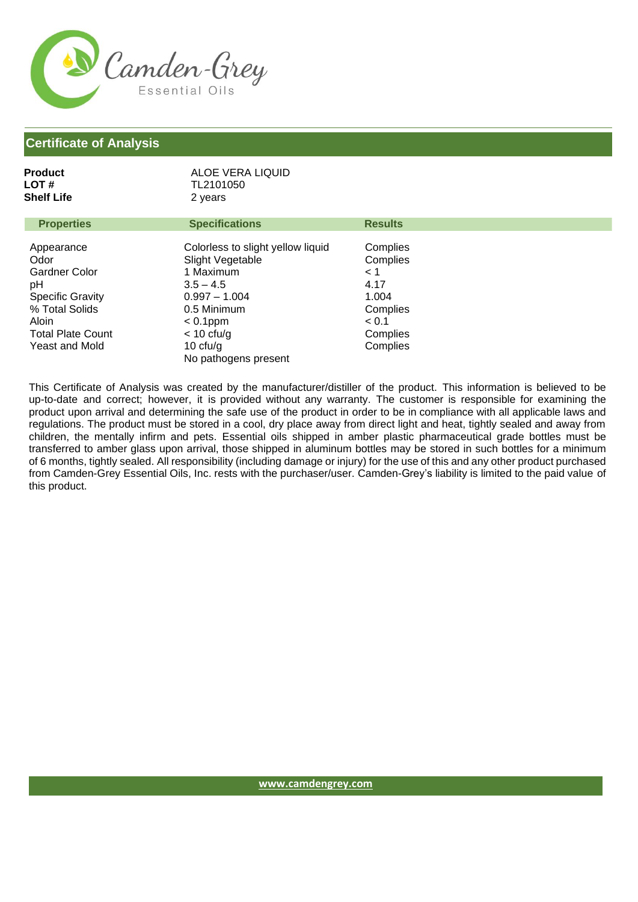

**Product**

| <b>LOT#</b><br>Shelf Life                                                                                                                            | TL2101050<br>2 years                                                                                                                                                                     |                                                                                                |  |
|------------------------------------------------------------------------------------------------------------------------------------------------------|------------------------------------------------------------------------------------------------------------------------------------------------------------------------------------------|------------------------------------------------------------------------------------------------|--|
| <b>Properties</b>                                                                                                                                    | <b>Specifications</b>                                                                                                                                                                    | <b>Results</b>                                                                                 |  |
| Appearance<br>Odor<br><b>Gardner Color</b><br>pH<br><b>Specific Gravity</b><br>% Total Solids<br>Aloin<br><b>Total Plate Count</b><br>Yeast and Mold | Colorless to slight yellow liquid<br>Slight Vegetable<br>1 Maximum<br>$3.5 - 4.5$<br>$0.997 - 1.004$<br>0.5 Minimum<br>$< 0.1$ ppm<br>$<$ 10 cfu/g<br>10 $ctu/g$<br>No pathogens present | Complies<br>Complies<br>$\leq 1$<br>4.17<br>1.004<br>Complies<br>< 0.1<br>Complies<br>Complies |  |

ALOE VERA LIQUID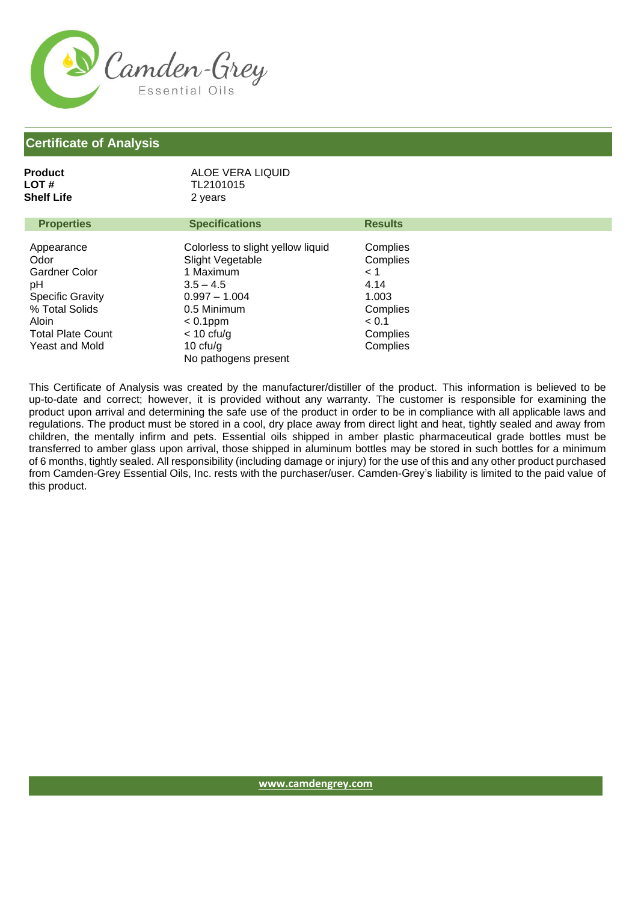

### **Certificate of Analysis**

| <b>LOT#</b><br>Shelf Life                                                                                                                            | TL2101015<br>2 years                                                                                                                                                                     |                                                                                                |
|------------------------------------------------------------------------------------------------------------------------------------------------------|------------------------------------------------------------------------------------------------------------------------------------------------------------------------------------------|------------------------------------------------------------------------------------------------|
| <b>Properties</b>                                                                                                                                    | <b>Specifications</b>                                                                                                                                                                    | <b>Results</b>                                                                                 |
| Appearance<br>Odor<br><b>Gardner Color</b><br>рH<br><b>Specific Gravity</b><br>% Total Solids<br>Aloin<br><b>Total Plate Count</b><br>Yeast and Mold | Colorless to slight yellow liquid<br>Slight Vegetable<br>1 Maximum<br>$3.5 - 4.5$<br>$0.997 - 1.004$<br>0.5 Minimum<br>$< 0.1$ ppm<br>$<$ 10 cfu/g<br>10 $ctu/g$<br>No pathogens present | Complies<br>Complies<br>$\leq 1$<br>4.14<br>1.003<br>Complies<br>< 0.1<br>Complies<br>Complies |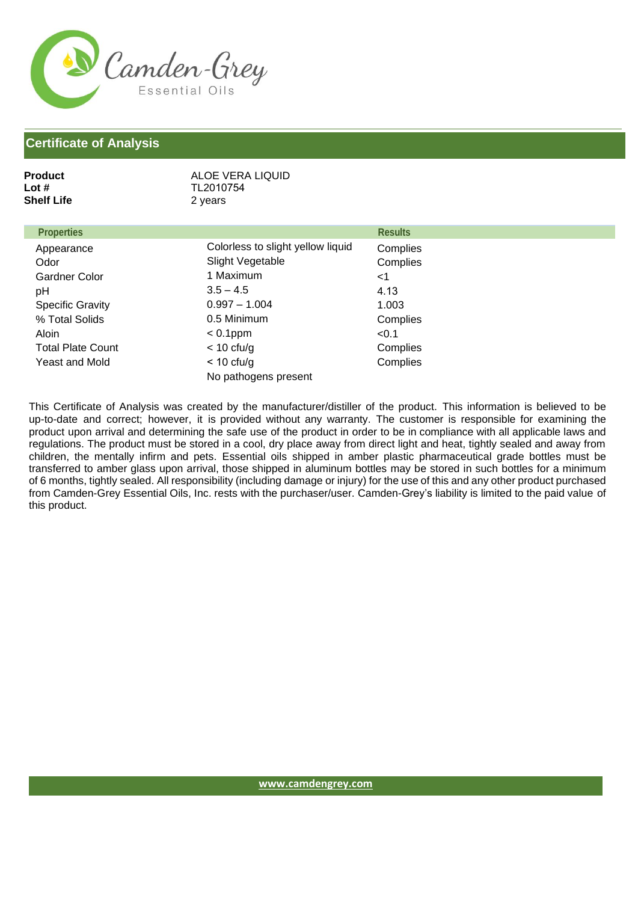

| ALOE VERA LIQUID<br>TL2010754<br>2 years |                |
|------------------------------------------|----------------|
|                                          | <b>Results</b> |
| Colorless to slight yellow liquid        | Complies       |
| Slight Vegetable                         | Complies       |
| 1 Maximum                                | $<$ 1          |
| $3.5 - 4.5$                              | 4.13           |
| $0.997 - 1.004$                          | 1.003          |
| 0.5 Minimum                              | Complies       |
| $< 0.1$ ppm                              | < 0.1          |
| $<$ 10 cfu/g                             | Complies       |
| $<$ 10 cfu/g<br>No pathogens present     | Complies       |
|                                          |                |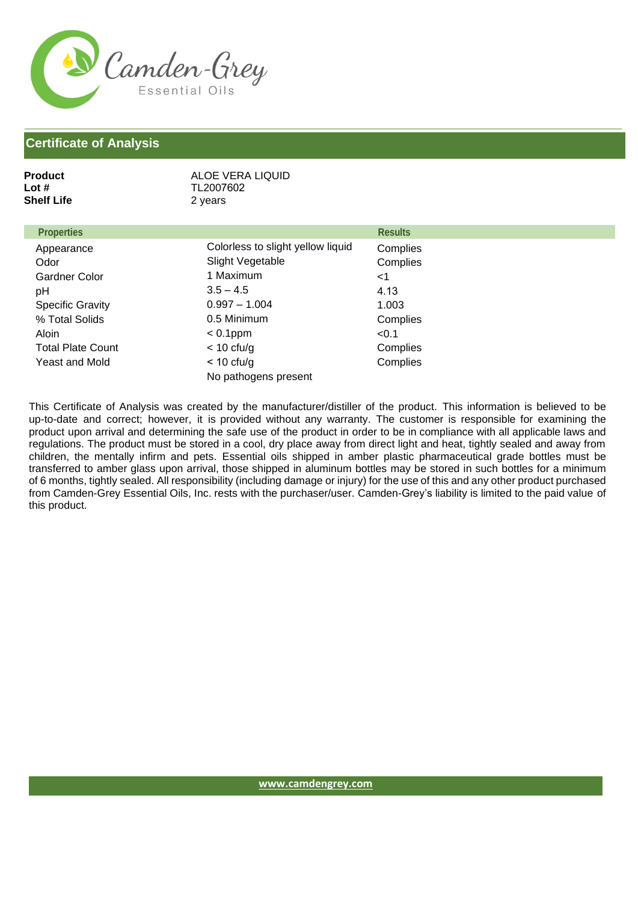

| <b>Product</b><br>Lot $#$<br><b>Shelf Life</b> | ALOE VERA LIQUID<br>TL2007602<br>2 years |                |
|------------------------------------------------|------------------------------------------|----------------|
| <b>Properties</b>                              |                                          | <b>Results</b> |
| Appearance                                     | Colorless to slight yellow liquid        | Complies       |
| Odor                                           | Slight Vegetable                         | Complies       |
| <b>Gardner Color</b>                           | 1 Maximum                                | $<$ 1          |
| pH                                             | $3.5 - 4.5$                              | 4.13           |
| <b>Specific Gravity</b>                        | $0.997 - 1.004$                          | 1.003          |
| % Total Solids                                 | 0.5 Minimum                              | Complies       |
| Aloin                                          | $< 0.1$ ppm                              | < 0.1          |
| <b>Total Plate Count</b>                       | $<$ 10 cfu/g                             | Complies       |
| Yeast and Mold                                 | $<$ 10 cfu/g                             | Complies       |
|                                                | No pathogens present                     |                |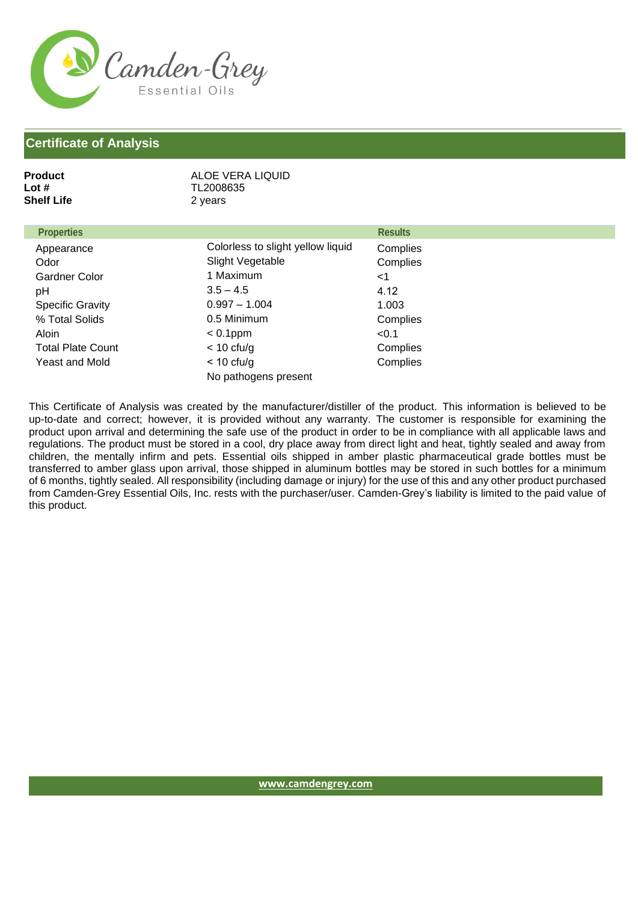

| ALOE VERA LIQUID<br>TL2008635<br>2 years     |                |
|----------------------------------------------|----------------|
|                                              | <b>Results</b> |
| Colorless to slight yellow liquid            | Complies       |
| Slight Vegetable                             | Complies       |
| 1 Maximum                                    | $<$ 1          |
| $3.5 - 4.5$                                  | 4.12           |
| $0.997 - 1.004$                              | 1.003          |
| 0.5 Minimum                                  | Complies       |
| $< 0.1$ ppm                                  | < 0.1          |
| $<$ 10 cfu/g                                 | Complies       |
| $< 10 \text{ cfu/g}$<br>No pathogens present | Complies       |
|                                              |                |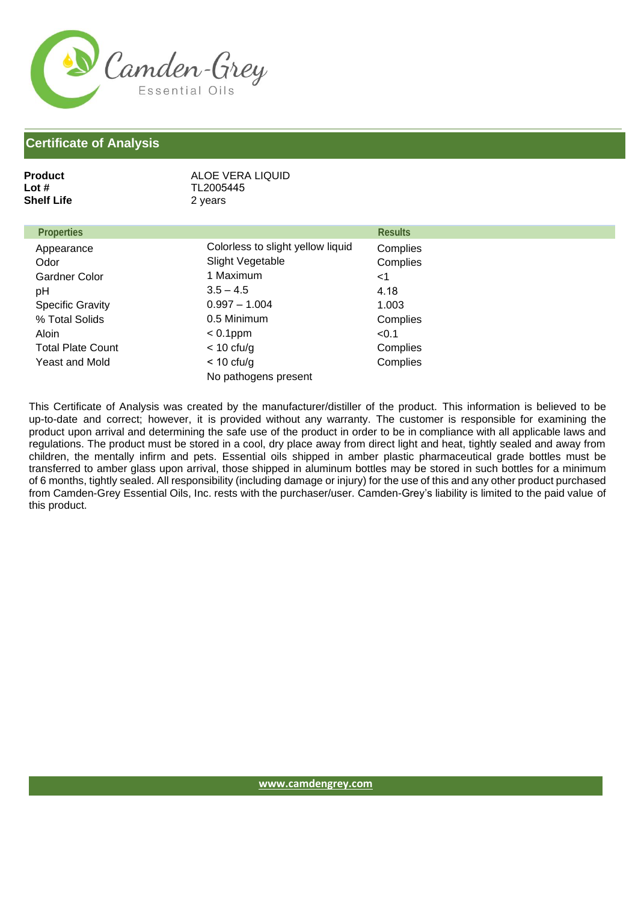

| <b>Product</b><br>Lot $#$<br><b>Shelf Life</b> | ALOE VERA LIQUID<br>TL2005445<br>2 years     |                |
|------------------------------------------------|----------------------------------------------|----------------|
| <b>Properties</b>                              |                                              | <b>Results</b> |
| Appearance                                     | Colorless to slight yellow liquid            | Complies       |
| Odor                                           | Slight Vegetable                             | Complies       |
| <b>Gardner Color</b>                           | 1 Maximum                                    | $<$ 1          |
| pH                                             | $3.5 - 4.5$                                  | 4.18           |
| <b>Specific Gravity</b>                        | $0.997 - 1.004$                              | 1.003          |
| % Total Solids                                 | 0.5 Minimum                                  | Complies       |
| Aloin                                          | $< 0.1$ ppm                                  | < 0.1          |
| <b>Total Plate Count</b>                       | $<$ 10 cfu/g                                 | Complies       |
| Yeast and Mold                                 | $< 10 \text{ ctu/g}$<br>No pathogens present | Complies       |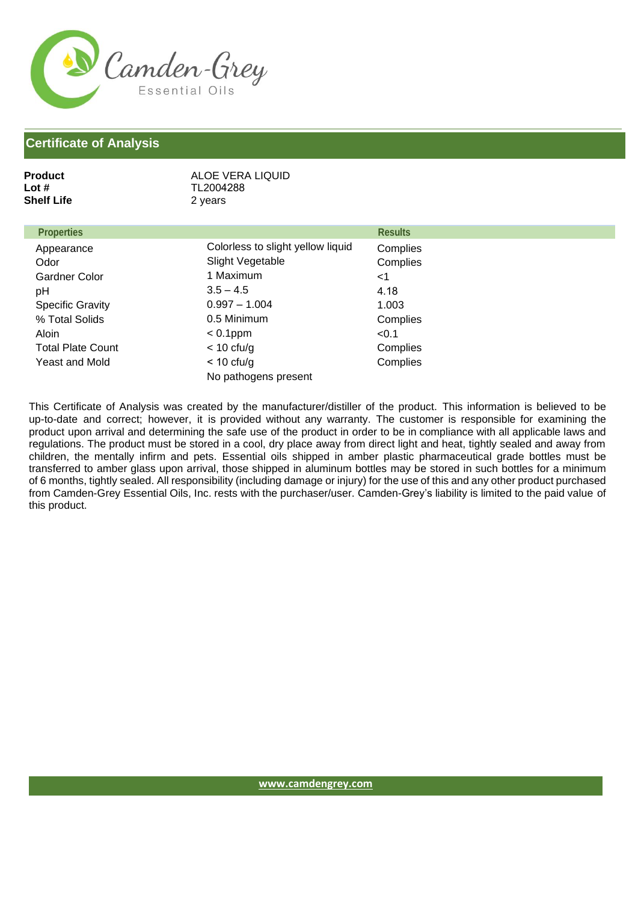

| <b>Product</b><br>Lot $#$<br><b>Shelf Life</b> | ALOE VERA LIQUID<br>TL2004288<br>2 years |                |
|------------------------------------------------|------------------------------------------|----------------|
| <b>Properties</b>                              |                                          | <b>Results</b> |
| Appearance                                     | Colorless to slight yellow liquid        | Complies       |
| Odor                                           | Slight Vegetable                         | Complies       |
| Gardner Color                                  | 1 Maximum                                | $<$ 1          |
| pH                                             | $3.5 - 4.5$                              | 4.18           |
| <b>Specific Gravity</b>                        | $0.997 - 1.004$                          | 1.003          |
| % Total Solids                                 | 0.5 Minimum                              | Complies       |
| <b>Aloin</b>                                   | $< 0.1$ ppm                              | < 0.1          |
| <b>Total Plate Count</b>                       | $<$ 10 cfu/g                             | Complies       |
| Yeast and Mold                                 | $<$ 10 cfu/g<br>No pathogens present     | Complies       |
|                                                |                                          |                |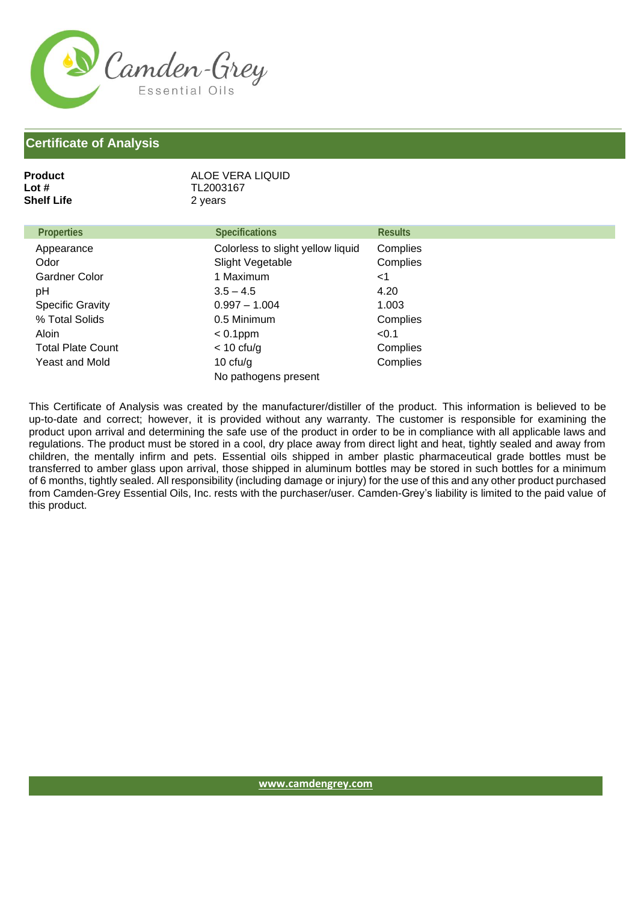

## **Certificate of Analysis**

| Lot #<br><b>Shelf Life</b> | TL2003167<br>2 years              |                |
|----------------------------|-----------------------------------|----------------|
| <b>Properties</b>          | <b>Specifications</b>             | <b>Results</b> |
| Appearance                 | Colorless to slight yellow liquid | Complies       |
| Odor                       | Slight Vegetable                  | Complies       |
| <b>Gardner Color</b>       | 1 Maximum                         | <1             |
| рH                         | $3.5 - 4.5$                       | 4.20           |
| <b>Specific Gravity</b>    | $0.997 - 1.004$                   | 1.003          |
| % Total Solids             | 0.5 Minimum                       | Complies       |
| Aloin                      | $< 0.1$ ppm                       | < 0.1          |
| <b>Total Plate Count</b>   | $< 10$ cfu/g                      | Complies       |
| <b>Yeast and Mold</b>      | 10 $ctu/g$                        | Complies       |
|                            | No pathogens present              |                |